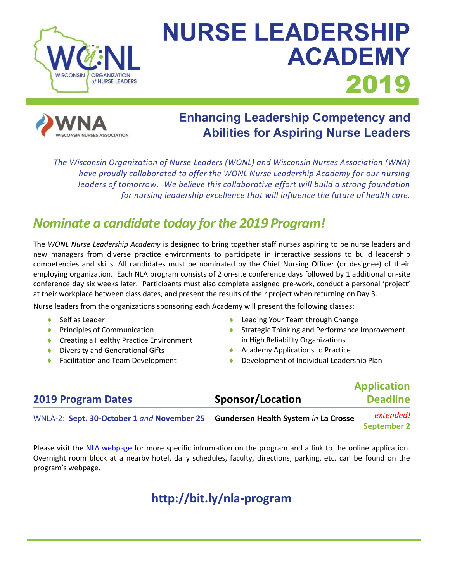

# **NURSE LEADERSHIP ACADEMY** 2019



# **Enhancing Leadership Competency and Abilities for Aspiring Nurse Leaders**

*The Wisconsin Organization of Nurse Leaders (WONL) and Wisconsin Nurses Association (WNA) have proudly collaborated to offer the WONL Nurse Leadership Academy for our nursing leaders of tomorrow. We believe this collaborative effort will build a strong foundation for nursing leadership excellence that will influence the future of health care.*

# *Nominate a candidate today for the 2019 Program!*

The *WONL Nurse Leadership Academy* is designed to bring together staff nurses aspiring to be nurse leaders and new managers from diverse practice environments to participate in interactive sessions to build leadership competencies and skills. All candidates must be nominated by the Chief Nursing Officer (or designee) of their employing organization. Each NLA program consists of 2 on-site conference days followed by 1 additional on-site conference day six weeks later. Participants must also complete assigned pre-work, conduct a personal 'project' at their workplace between class dates, and present the results of their project when returning on Day 3.

Nurse leaders from the organizations sponsoring each Academy will present the following classes:

- Self as Leader
- ◆ Principles of Communication
- ◆ Creating a Healthy Practice Environment
- Diversity and Generational Gifts
- Facilitation and Team Development
- ◆ Leading Your Team through Change
- ◆ Strategic Thinking and Performance Improvement in High Reliability Organizations
- ◆ Academy Applications to Practice
- Development of Individual Leadership Plan

| <b>2019 Program Dates</b>                                                       | Sponsor/Location | <b>Application</b><br><b>Deadline</b> |
|---------------------------------------------------------------------------------|------------------|---------------------------------------|
| WNLA-2: Sept. 30-October 1 and November 25 Gundersen Health System in La Crosse |                  | extended!<br><b>September 2</b>       |

Please visit the [NLA webpage](http://wisconsinnurses.org/?event=wisconsin-nurse-leadership-academy) for more specific information on the program and a link to the online application. Overnight room block at a nearby hotel, daily schedules, faculty, directions, parking, etc. can be found on the program's webpage.

# **http://bit.ly/nla-program**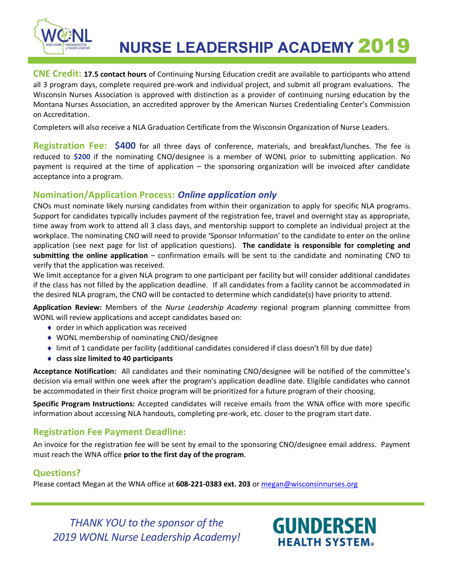

**NURSE LEADERSHIP ACADEMY 2019** 

**CNE Credit: 17.5 contact hours** of Continuing Nursing Education credit are available to participants who attend all 3 program days, complete required pre-work and individual project, and submit all program evaluations. The Wisconsin Nurses Association is approved with distinction as a provider of continuing nursing education by the Montana Nurses Association, an accredited approver by the American Nurses Credentialing Center's Commission on Accreditation.

Completers will also receive a NLA Graduation Certificate from the Wisconsin Organization of Nurse Leaders.

**Registration Fee: \$400** for all three days of conference, materials, and breakfast/lunches. The fee is reduced to **\$200** if the nominating CNO/designee is a member of WONL prior to submitting application. No payment is required at the time of application – the sponsoring organization will be invoiced after candidate acceptance into a program.

### **Nomination/Application Process:** *Online application only*

CNOs must nominate likely nursing candidates from within their organization to apply for specific NLA programs. Support for candidates typically includes payment of the registration fee, travel and overnight stay as appropriate, time away from work to attend all 3 class days, and mentorship support to complete an individual project at the workplace. The nominating CNO will need to provide 'Sponsor Information' to the candidate to enter on the online application (see next page for list of application questions). **The candidate is responsible for completing and submitting the online application** – confirmation emails will be sent to the candidate and nominating CNO to verify that the application was received.

We limit acceptance for a given NLA program to one participant per facility but will consider additional candidates if the class has not filled by the application deadline. If all candidates from a facility cannot be accommodated in the desired NLA program, the CNO will be contacted to determine which candidate(s) have priority to attend.

**Application Review:** Members of the *Nurse Leadership Academy* regional program planning committee from WONL will review applications and accept candidates based on:

- ◆ order in which application was received
- WONL membership of nominating CNO/designee
- limit of 1 candidate per facility (additional candidates considered if class doesn't fill by due date)
- **class size limited to 40 participants**

**Acceptance Notification:** All candidates and their nominating CNO/designee will be notified of the committee's decision via email within one week after the program's application deadline date. Eligible candidates who cannot be accommodated in their first choice program will be prioritized for a future program of their choosing.

**Specific Program Instructions:** Accepted candidates will receive emails from the WNA office with more specific information about accessing NLA handouts, completing pre-work, etc. closer to the program start date.

## **Registration Fee Payment Deadline:**

An invoice for the registration fee will be sent by email to the sponsoring CNO/designee email address. Payment must reach the WNA office **prior to the first day of the program**.

## **Questions?**

Please contact Megan at the WNA office at **608-221-0383 ext. 203** o[r megan@wisconsinnurses.org](mailto:megan@wisconsinnurses.org)

*THANK YOU to the sponsor of the 2019 WONL Nurse Leadership Academy!*